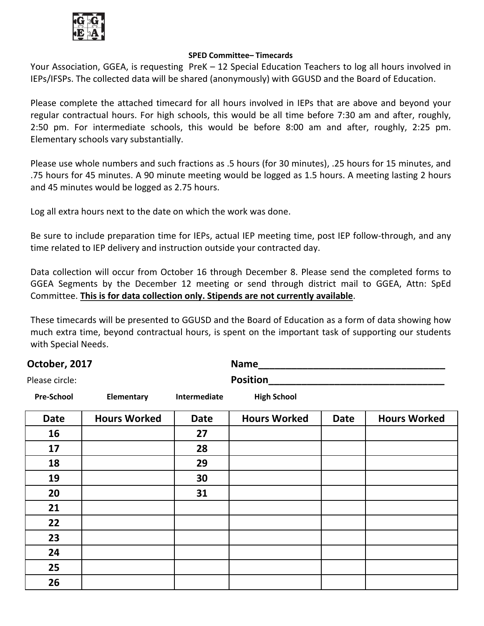

## **SPED Committee– Timecards**

Your Association, GGEA, is requesting PreK – 12 Special Education Teachers to log all hours involved in IEPs/IFSPs. The collected data will be shared (anonymously) with GGUSD and the Board of Education.

Please complete the attached timecard for all hours involved in IEPs that are above and beyond your regular contractual hours. For high schools, this would be all time before 7:30 am and after, roughly, 2:50 pm. For intermediate schools, this would be before 8:00 am and after, roughly, 2:25 pm. Elementary schools vary substantially.

Please use whole numbers and such fractions as .5 hours (for 30 minutes), .25 hours for 15 minutes, and .75 hours for 45 minutes. A 90 minute meeting would be logged as 1.5 hours. A meeting lasting 2 hours and 45 minutes would be logged as 2.75 hours.

Log all extra hours next to the date on which the work was done.

Be sure to include preparation time for IEPs, actual IEP meeting time, post IEP follow-through, and any time related to IEP delivery and instruction outside your contracted day.

Data collection will occur from October 16 through December 8. Please send the completed forms to GGEA Segments by the December 12 meeting or send through district mail to GGEA, Attn: SpEd Committee. **This is for data collection only. Stipends are not currently available**.

These timecards will be presented to GGUSD and the Board of Education as a form of data showing how much extra time, beyond contractual hours, is spent on the important task of supporting our students with Special Needs.

| October, 2017     |                     |              | <b>Name</b>         |             |                     |  |  |
|-------------------|---------------------|--------------|---------------------|-------------|---------------------|--|--|
| Please circle:    |                     |              | <b>Position</b>     |             |                     |  |  |
| <b>Pre-School</b> | Elementary          | Intermediate | <b>High School</b>  |             |                     |  |  |
| <b>Date</b>       | <b>Hours Worked</b> | <b>Date</b>  | <b>Hours Worked</b> | <b>Date</b> | <b>Hours Worked</b> |  |  |
| 16                |                     | 27           |                     |             |                     |  |  |
| 17                |                     | 28           |                     |             |                     |  |  |
| 18                |                     | 29           |                     |             |                     |  |  |
| 19                |                     | 30           |                     |             |                     |  |  |
| 20                |                     | 31           |                     |             |                     |  |  |
| 21                |                     |              |                     |             |                     |  |  |
| 22                |                     |              |                     |             |                     |  |  |
| 23                |                     |              |                     |             |                     |  |  |
| 24                |                     |              |                     |             |                     |  |  |
| 25                |                     |              |                     |             |                     |  |  |
| 26                |                     |              |                     |             |                     |  |  |
|                   |                     |              |                     |             |                     |  |  |